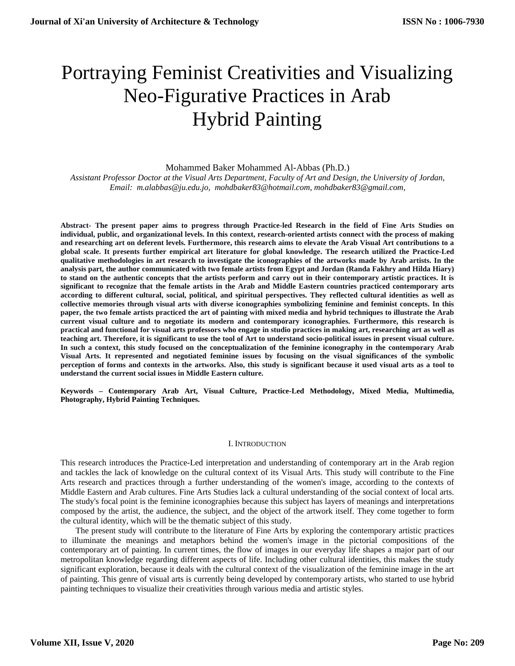# Portraying Feminist Creativities and Visualizing Neo-Figurative Practices in Arab Hybrid Painting

## Mohammed Baker Mohammed Al-Abbas (Ph.D.)

*Assistant Professor Doctor at the Visual Arts Department, Faculty of Art and Design, the University of Jordan, Email: [m.alabbas@ju.edu.jo,](mailto:%20m.alabbas@ju.edu.jo,) [mohdbaker83@hotmail.com,](mailto:mohdbaker83@hotmail.com) [mohdbaker83@gmail.com,](mailto:mohdbaker83@gmail.com)*

**Abstract- The present paper aims to progress through Practice-led Research in the field of Fine Arts Studies on individual, public, and organizational levels. In this context, research-oriented artists connect with the process of making and researching art on deferent levels. Furthermore, this research aims to elevate the Arab Visual Art contributions to a global scale. It presents further empirical art literature for global knowledge. The research utilized the Practice-Led qualitative methodologies in art research to investigate the iconographies of the artworks made by Arab artists. In the analysis part, the author communicated with two female artists from Egypt and Jordan (Randa Fakhry and Hilda Hiary) to stand on the authentic concepts that the artists perform and carry out in their contemporary artistic practices. It is significant to recognize that the female artists in the Arab and Middle Eastern countries practiced contemporary arts according to different cultural, social, political, and spiritual perspectives. They reflected cultural identities as well as collective memories through visual arts with diverse iconographies symbolizing feminine and feminist concepts. In this paper, the two female artists practiced the art of painting with mixed media and hybrid techniques to illustrate the Arab current visual culture and to negotiate its modern and contemporary iconographies. Furthermore, this research is practical and functional for visual arts professors who engage in studio practices in making art, researching art as well as teaching art. Therefore, it is significant to use the tool of Art to understand socio-political issues in present visual culture. In such a context, this study focused on the conceptualization of the feminine iconography in the contemporary Arab Visual Arts. It represented and negotiated feminine issues by focusing on the visual significances of the symbolic perception of forms and contexts in the artworks. Also, this study is significant because it used visual arts as a tool to understand the current social issues in Middle Eastern culture.**

**Keywords – Contemporary Arab Art, Visual Culture, Practice-Led Methodology, Mixed Media, Multimedia, Photography, Hybrid Painting Techniques.**

#### I. INTRODUCTION

This research introduces the Practice-Led interpretation and understanding of contemporary art in the Arab region and tackles the lack of knowledge on the cultural context of its Visual Arts. This study will contribute to the Fine Arts research and practices through a further understanding of the women's image, according to the contexts of Middle Eastern and Arab cultures. Fine Arts Studies lack a cultural understanding of the social context of local arts. The study's focal point is the feminine iconographies because this subject has layers of meanings and interpretations composed by the artist, the audience, the subject, and the object of the artwork itself. They come together to form the cultural identity, which will be the thematic subject of this study.

The present study will contribute to the literature of Fine Arts by exploring the contemporary artistic practices to illuminate the meanings and metaphors behind the women's image in the pictorial compositions of the contemporary art of painting. In current times, the flow of images in our everyday life shapes a major part of our metropolitan knowledge regarding different aspects of life. Including other cultural identities, this makes the study significant exploration, because it deals with the cultural context of the visualization of the feminine image in the art of painting. This genre of visual arts is currently being developed by contemporary artists, who started to use hybrid painting techniques to visualize their creativities through various media and artistic styles.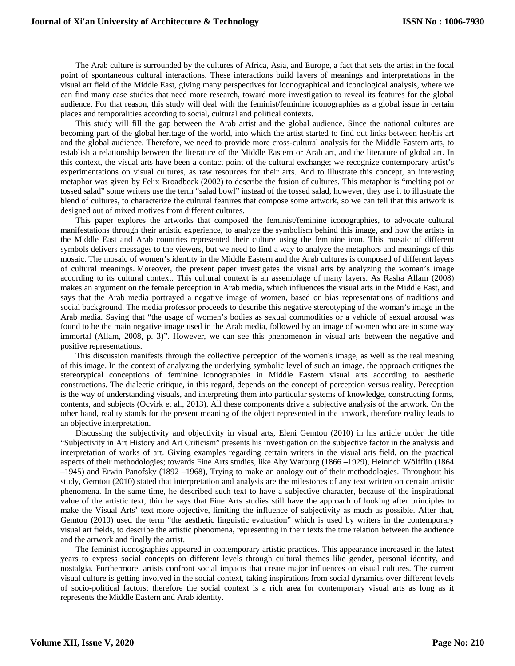The Arab culture is surrounded by the cultures of Africa, Asia, and Europe, a fact that sets the artist in the focal point of spontaneous cultural interactions. These interactions build layers of meanings and interpretations in the visual art field of the Middle East, giving many perspectives for iconographical and iconological analysis, where we can find many case studies that need more research, toward more investigation to reveal its features for the global audience. For that reason, this study will deal with the feminist/feminine iconographies as a global issue in certain places and temporalities according to social, cultural and political contexts.

This study will fill the gap between the Arab artist and the global audience. Since the national cultures are becoming part of the global heritage of the world, into which the artist started to find out links between her/his art and the global audience. Therefore, we need to provide more cross-cultural analysis for the Middle Eastern arts, to establish a relationship between the literature of the Middle Eastern or Arab art, and the literature of global art. In this context, the visual arts have been a contact point of the cultural exchange; we recognize contemporary artist's experimentations on visual cultures, as raw resources for their arts. And to illustrate this concept, an interesting metaphor was given by Felix Broadbeck (2002) to describe the fusion of cultures. This metaphor is "melting pot or tossed salad" some writers use the term "salad bowl" instead of the tossed salad, however, they use it to illustrate the blend of cultures, to characterize the cultural features that compose some artwork, so we can tell that this artwork is designed out of mixed motives from different cultures.

This paper explores the artworks that composed the feminist/feminine iconographies, to advocate cultural manifestations through their artistic experience, to analyze the symbolism behind this image, and how the artists in the Middle East and Arab countries represented their culture using the feminine icon. This mosaic of different symbols delivers messages to the viewers, but we need to find a way to analyze the metaphors and meanings of this mosaic. The mosaic of women's identity in the Middle Eastern and the Arab cultures is composed of different layers of cultural meanings. Moreover, the present paper investigates the visual arts by analyzing the woman's image according to its cultural context. This cultural context is an assemblage of many layers. As Rasha Allam (2008) makes an argument on the female perception in Arab media, which influences the visual arts in the Middle East, and says that the Arab media portrayed a negative image of women, based on bias representations of traditions and social background. The media professor proceeds to describe this negative stereotyping of the woman's image in the Arab media. Saying that "the usage of women's bodies as sexual commodities or a vehicle of sexual arousal was found to be the main negative image used in the Arab media, followed by an image of women who are in some way immortal (Allam, 2008, p. 3)". However, we can see this phenomenon in visual arts between the negative and positive representations.

This discussion manifests through the collective perception of the women's image, as well as the real meaning of this image. In the context of analyzing the underlying symbolic level of such an image, the approach critiques the stereotypical conceptions of feminine iconographies in Middle Eastern visual arts according to aesthetic constructions. The dialectic critique, in this regard, depends on the concept of perception versus reality. Perception is the way of understanding visuals, and interpreting them into particular systems of knowledge, constructing forms, contents, and subjects (Ocvirk et al., 2013). All these components drive a subjective analysis of the artwork. On the other hand, reality stands for the present meaning of the object represented in the artwork, therefore reality leads to an objective interpretation.

Discussing the subjectivity and objectivity in visual arts, [Eleni Gemtou \(2010\)](#page-11-0) in his article under the title "Subjectivity in Art History and Art Criticism" presents his investigation on the subjective factor in the analysis and interpretation of works of art. Giving examples regarding certain writers in the visual arts field, on the practical aspects of their methodologies; towards Fine Arts studies, like Aby Warburg (1866 –1929), Heinrich Wölfflin (1864 –1945) and Erwin Panofsky (1892 –1968), Trying to make an analogy out of their methodologies. Throughout his study, [Gemtou \(2010\)](#page-11-0) stated that interpretation and analysis are the milestones of any text written on certain artistic phenomena. In the same time, he described such text to have a subjective character, because of the inspirational value of the artistic text, thin he says that Fine Arts studies still have the approach of looking after principles to make the Visual Arts' text more objective, limiting the influence of subjectivity as much as possible. After that, [Gemtou \(2010\)](#page-11-0) used the term "the aesthetic linguistic evaluation" which is used by writers in the contemporary visual art fields, to describe the artistic phenomena, representing in their texts the true relation between the audience and the artwork and finally the artist.

The feminist iconographies appeared in contemporary artistic practices. This appearance increased in the latest years to express social concepts on different levels through cultural themes like gender, personal identity, and nostalgia. Furthermore, artists confront social impacts that create major influences on visual cultures. The current visual culture is getting involved in the social context, taking inspirations from social dynamics over different levels of socio-political factors; therefore the social context is a rich area for contemporary visual arts as long as it represents the Middle Eastern and Arab identity.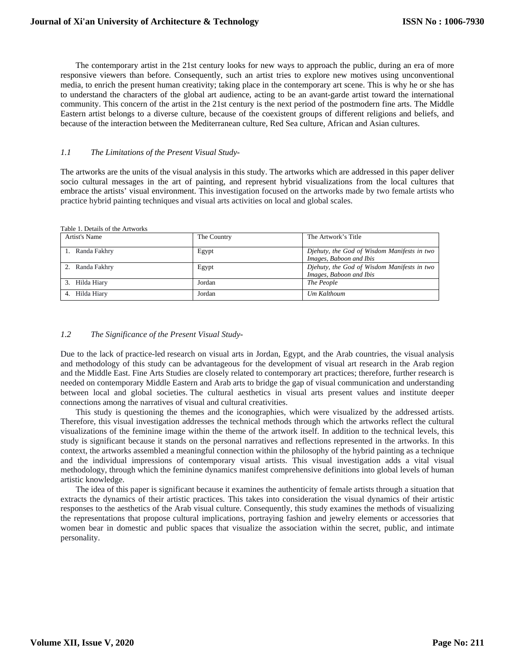The contemporary artist in the 21st century looks for new ways to approach the public, during an era of more responsive viewers than before. Consequently, such an artist tries to explore new motives using unconventional media, to enrich the present human creativity; taking place in the contemporary art scene. This is why he or she has to understand the characters of the global art audience, acting to be an avant-garde artist toward the international community. This concern of the artist in the 21st century is the next period of the postmodern fine arts. The Middle Eastern artist belongs to a diverse culture, because of the coexistent groups of different religions and beliefs, and because of the interaction between the Mediterranean culture, Red Sea culture, African and Asian cultures.

### *1.1 The Limitations of the Present Visual Study-*

The artworks are the units of the visual analysis in this study. The artworks which are addressed in this paper deliver socio cultural messages in the art of painting, and represent hybrid visualizations from the local cultures that embrace the artists' visual environment. This investigation focused on the artworks made by two female artists who practice hybrid painting techniques and visual arts activities on local and global scales.

|  |  |  | Table 1. Details of the Artworks |  |
|--|--|--|----------------------------------|--|
|  |  |  |                                  |  |

| Artist's Name   | The Country | The Artwork's Title                                                    |
|-----------------|-------------|------------------------------------------------------------------------|
| 1. Randa Fakhry | Egypt       | Djehuty, the God of Wisdom Manifests in two<br>Images, Baboon and Ibis |
| 2. Randa Fakhry | Egypt       | Djehuty, the God of Wisdom Manifests in two<br>Images, Baboon and Ibis |
| 3. Hilda Hiary  | Jordan      | The People                                                             |
| 4. Hilda Hiarv  | Jordan      | Um Kalthoum                                                            |

## *1.2 The Significance of the Present Visual Study-*

Due to the lack of practice-led research on visual arts in Jordan, Egypt, and the Arab countries, the visual analysis and methodology of this study can be advantageous for the development of visual art research in the Arab region and the Middle East. Fine Arts Studies are closely related to contemporary art practices; therefore, further research is needed on contemporary Middle Eastern and Arab arts to bridge the gap of visual communication and understanding between local and global societies. The cultural aesthetics in visual arts present values and institute deeper connections among the narratives of visual and cultural creativities.

This study is questioning the themes and the iconographies, which were visualized by the addressed artists. Therefore, this visual investigation addresses the technical methods through which the artworks reflect the cultural visualizations of the feminine image within the theme of the artwork itself. In addition to the technical levels, this study is significant because it stands on the personal narratives and reflections represented in the artworks. In this context, the artworks assembled a meaningful connection within the philosophy of the hybrid painting as a technique and the individual impressions of contemporary visual artists. This visual investigation adds a vital visual methodology, through which the feminine dynamics manifest comprehensive definitions into global levels of human artistic knowledge.

The idea of this paper is significant because it examines the authenticity of female artists through a situation that extracts the dynamics of their artistic practices. This takes into consideration the visual dynamics of their artistic responses to the aesthetics of the Arab visual culture. Consequently, this study examines the methods of visualizing the representations that propose cultural implications, portraying fashion and jewelry elements or accessories that women bear in domestic and public spaces that visualize the association within the secret, public, and intimate personality.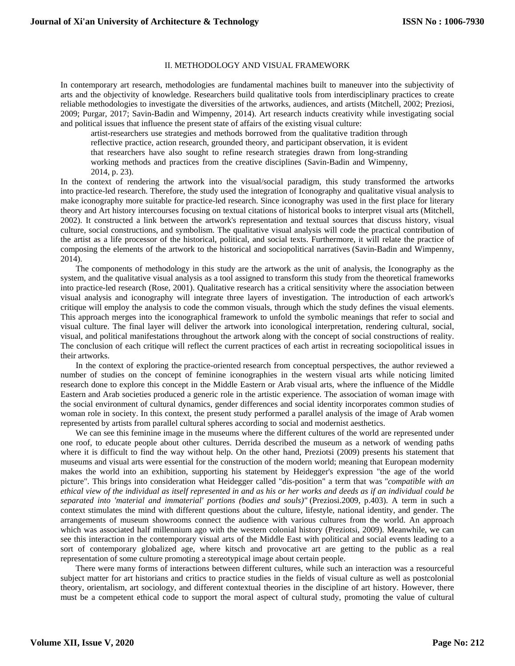## II. METHODOLOGY AND VISUAL FRAMEWORK

In contemporary art research, methodologies are fundamental machines built to maneuver into the subjectivity of arts and the objectivity of knowledge. Researchers build qualitative tools from interdisciplinary practices to create reliable methodologies to investigate the diversities of the artworks, audiences, and artists (Mitchell, 2002; Preziosi, 2009; Purgar, 2017; Savin-Badin and Wimpenny, 2014). Art research inducts creativity while investigating social and political issues that influence the present state of affairs of the existing visual culture:

artist-researchers use strategies and methods borrowed from the qualitative tradition through reflective practice, action research, grounded theory, and participant observation, it is evident that researchers have also sought to refine research strategies drawn from long-stranding working methods and practices from the creative disciplines (Savin-Badin and Wimpenny, 2014, p. 23).

In the context of rendering the artwork into the visual/social paradigm, this study transformed the artworks into practice-led research. Therefore, the study used the integration of Iconography and qualitative visual analysis to make iconography more suitable for practice-led research. Since iconography was used in the first place for literary theory and Art history intercourses focusing on textual citations of historical books to interpret visual arts (Mitchell, 2002). It constructed a link between the artwork's representation and textual sources that discuss history, visual culture, social constructions, and symbolism. The qualitative visual analysis will code the practical contribution of the artist as a life processor of the historical, political, and social texts. Furthermore, it will relate the practice of composing the elements of the artwork to the historical and sociopolitical narratives (Savin-Badin and Wimpenny, 2014).

The components of methodology in this study are the artwork as the unit of analysis, the Iconography as the system, and the qualitative visual analysis as a tool assigned to transform this study from the theoretical frameworks into practice-led research (Rose, 2001). Qualitative research has a critical sensitivity where the association between visual analysis and iconography will integrate three layers of investigation. The introduction of each artwork's critique will employ the analysis to code the common visuals, through which the study defines the visual elements. This approach merges into the iconographical framework to unfold the symbolic meanings that refer to social and visual culture. The final layer will deliver the artwork into iconological interpretation, rendering cultural, social, visual, and political manifestations throughout the artwork along with the concept of social constructions of reality. The conclusion of each critique will reflect the current practices of each artist in recreating sociopolitical issues in their artworks.

In the context of exploring the practice-oriented research from conceptual perspectives, the author reviewed a number of studies on the concept of feminine iconographies in the western visual arts while noticing limited research done to explore this concept in the Middle Eastern or Arab visual arts, where the influence of the Middle Eastern and Arab societies produced a generic role in the artistic experience. The association of woman image with the social environment of cultural dynamics, gender differences and social identity incorporates common studies of woman role in society. In this context, the present study performed a parallel analysis of the image of Arab women represented by artists from parallel cultural spheres according to social and modernist aesthetics.

We can see this feminine image in the museums where the different cultures of the world are represented under one roof, to educate people about other cultures. Derrida described the museum as a network of wending paths where it is difficult to find the way without help. On the other hand, Preziotsi (2009) presents his statement that museums and visual arts were essential for the construction of the modern world; meaning that European modernity makes the world into an exhibition, supporting his statement by Heidegger's expression "the age of the world picture". This brings into consideration what Heidegger called "dis-position" a term that was *"compatible with an ethical view of the individual as itself represented in and as his or her works and deeds as if an individual could be separated into 'material and immaterial' portions (bodies and souls)"* (Preziosi.2009, p.403). A term in such a context stimulates the mind with different questions about the culture, lifestyle, national identity, and gender. The arrangements of museum showrooms connect the audience with various cultures from the world. An approach which was associated half millennium ago with the western colonial history (Preziotsi, 2009). Meanwhile, we can see this interaction in the contemporary visual arts of the Middle East with political and social events leading to a sort of contemporary globalized age, where kitsch and provocative art are getting to the public as a real representation of some culture promoting a stereotypical image about certain people.

There were many forms of interactions between different cultures, while such an interaction was a resourceful subject matter for art historians and critics to practice studies in the fields of visual culture as well as postcolonial theory, orientalism, art sociology, and different contextual theories in the discipline of art history. However, there must be a competent ethical code to support the moral aspect of cultural study, promoting the value of cultural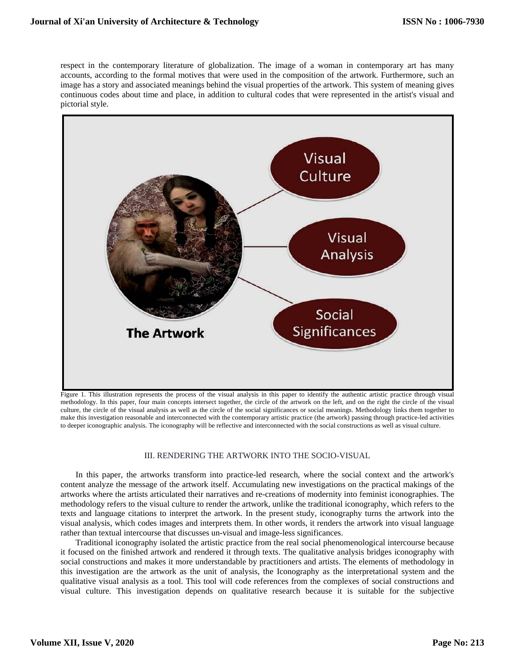respect in the contemporary literature of globalization. The image of a woman in contemporary art has many accounts, according to the formal motives that were used in the composition of the artwork. Furthermore, such an image has a story and associated meanings behind the visual properties of the artwork. This system of meaning gives continuous codes about time and place, in addition to cultural codes that were represented in the artist's visual and pictorial style.



Figure 1. This illustration represents the process of the visual analysis in this paper to identify the authentic artistic practice through visual methodology*.* In this paper, four main concepts intersect together, the circle of the artwork on the left, and on the right the circle of the visual culture, the circle of the visual analysis as well as the circle of the social significances or social meanings. Methodology links them together to make this investigation reasonable and interconnected with the contemporary artistic practice (the artwork) passing through practice-led activities to deeper iconographic analysis. The iconography will be reflective and interconnected with the social constructions as well as visual culture.

#### III. RENDERING THE ARTWORK INTO THE SOCIO-VISUAL

In this paper, the artworks transform into practice-led research, where the social context and the artwork's content analyze the message of the artwork itself. Accumulating new investigations on the practical makings of the artworks where the artists articulated their narratives and re-creations of modernity into feminist iconographies. The methodology refers to the visual culture to render the artwork, unlike the traditional iconography, which refers to the texts and language citations to interpret the artwork. In the present study, iconography turns the artwork into the visual analysis, which codes images and interprets them. In other words, it renders the artwork into visual language rather than textual intercourse that discusses un-visual and image-less significances.

Traditional iconography isolated the artistic practice from the real social phenomenological intercourse because it focused on the finished artwork and rendered it through texts. The qualitative analysis bridges iconography with social constructions and makes it more understandable by practitioners and artists. The elements of methodology in this investigation are the artwork as the unit of analysis, the Iconography as the interpretational system and the qualitative visual analysis as a tool. This tool will code references from the complexes of social constructions and visual culture. This investigation depends on qualitative research because it is suitable for the subjective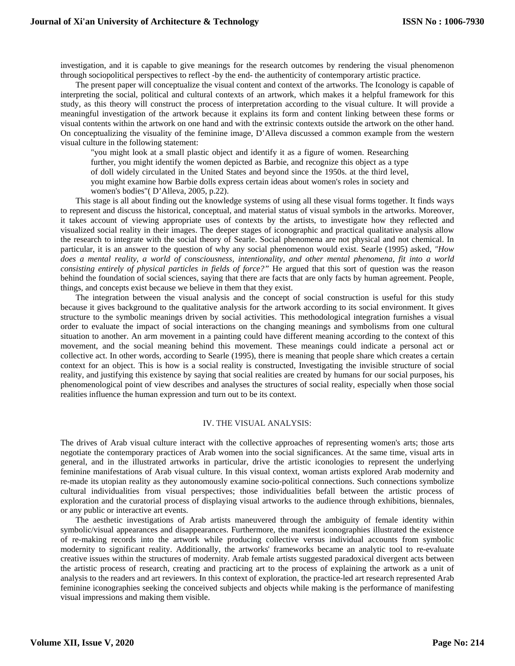investigation, and it is capable to give meanings for the research outcomes by rendering the visual phenomenon through sociopolitical perspectives to reflect -by the end- the authenticity of contemporary artistic practice.

The present paper will conceptualize the visual content and context of the artworks. The Iconology is capable of interpreting the social, political and cultural contexts of an artwork, which makes it a helpful framework for this study, as this theory will construct the process of interpretation according to the visual culture. It will provide a meaningful investigation of the artwork because it explains its form and content linking between these forms or visual contents within the artwork on one hand and with the extrinsic contexts outside the artwork on the other hand. On conceptualizing the visuality of the feminine image, D'Alleva discussed a common example from the western visual culture in the following statement:

"you might look at a small plastic object and identify it as a figure of women. Researching further, you might identify the women depicted as Barbie, and recognize this object as a type of doll widely circulated in the United States and beyond since the 1950s. at the third level, you might examine how Barbie dolls express certain ideas about women's roles in society and women's bodies"( D'Alleva, 2005, p.22).

This stage is all about finding out the knowledge systems of using all these visual forms together. It finds ways to represent and discuss the historical, conceptual, and material status of visual symbols in the artworks. Moreover, it takes account of viewing appropriate uses of contexts by the artists, to investigate how they reflected and visualized social reality in their images. The deeper stages of iconographic and practical qualitative analysis allow the research to integrate with the social theory of Searle. Social phenomena are not physical and not chemical. In particular, it is an answer to the question of why any social phenomenon would exist. [Searle \(1995\)](#page-11-1) asked, *"How does a mental reality, a world of consciousness, intentionality, and other mental phenomena, fit into a world consisting entirely of physical particles in fields of force?"* He argued that this sort of question was the reason behind the foundation of social sciences, saying that there are facts that are only facts by human agreement. People, things, and concepts exist because we believe in them that they exist.

The integration between the visual analysis and the concept of social construction is useful for this study because it gives background to the qualitative analysis for the artwork according to its social environment. It gives structure to the symbolic meanings driven by social activities. This methodological integration furnishes a visual order to evaluate the impact of social interactions on the changing meanings and symbolisms from one cultural situation to another. An arm movement in a painting could have different meaning according to the context of this movement, and the social meaning behind this movement. These meanings could indicate a personal act or collective act. In other words, according to [Searle \(1995\),](#page-11-1) there is meaning that people share which creates a certain context for an object. This is how is a social reality is constructed, Investigating the invisible structure of social reality, and justifying this existence by saying that social realities are created by humans for our social purposes, his phenomenological point of view describes and analyses the structures of social reality, especially when those social realities influence the human expression and turn out to be its context.

#### IV. THE VISUAL ANALYSIS:

The drives of Arab visual culture interact with the collective approaches of representing women's arts; those arts negotiate the contemporary practices of Arab women into the social significances. At the same time, visual arts in general, and in the illustrated artworks in particular, drive the artistic iconologies to represent the underlying feminine manifestations of Arab visual culture. In this visual context, woman artists explored Arab modernity and re-made its utopian reality as they autonomously examine socio-political connections. Such connections symbolize cultural individualities from visual perspectives; those individualities befall between the artistic process of exploration and the curatorial process of displaying visual artworks to the audience through exhibitions, biennales, or any public or interactive art events.

The aesthetic investigations of Arab artists maneuvered through the ambiguity of female identity within symbolic/visual appearances and disappearances. Furthermore, the manifest iconographies illustrated the existence of re-making records into the artwork while producing collective versus individual accounts from symbolic modernity to significant reality. Additionally, the artworks' frameworks became an analytic tool to re-evaluate creative issues within the structures of modernity. Arab female artists suggested paradoxical divergent acts between the artistic process of research, creating and practicing art to the process of explaining the artwork as a unit of analysis to the readers and art reviewers. In this context of exploration, the practice-led art research represented Arab feminine iconographies seeking the conceived subjects and objects while making is the performance of manifesting visual impressions and making them visible.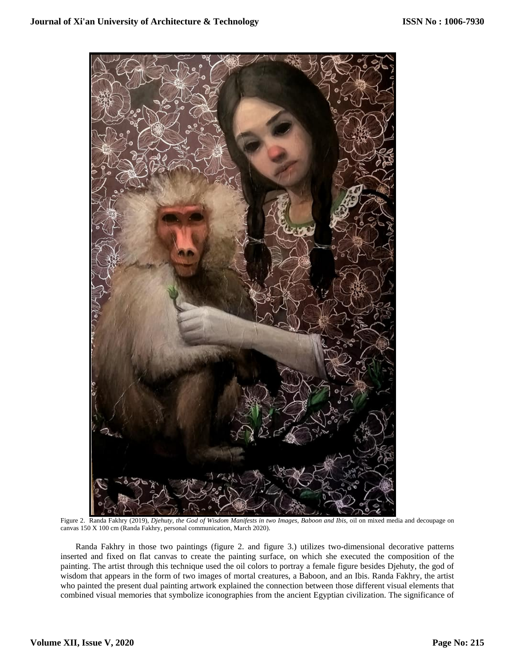

Figure 2. Randa Fakhry (2019), *Djehuty, the God of Wisdom Manifests in two Images, Baboon and Ibis*, oil on mixed media and decoupage on canvas 150 X 100 cm (Randa Fakhry, personal communication, March 2020).

Randa Fakhry in those two paintings (figure 2. and figure 3.) utilizes two-dimensional decorative patterns inserted and fixed on flat canvas to create the painting surface, on which she executed the composition of the painting. The artist through this technique used the oil colors to portray a female figure besides Djehuty, the god of wisdom that appears in the form of two images of mortal creatures, a Baboon, and an Ibis. Randa Fakhry, the artist who painted the present dual painting artwork explained the connection between those different visual elements that combined visual memories that symbolize iconographies from the ancient Egyptian civilization. The significance of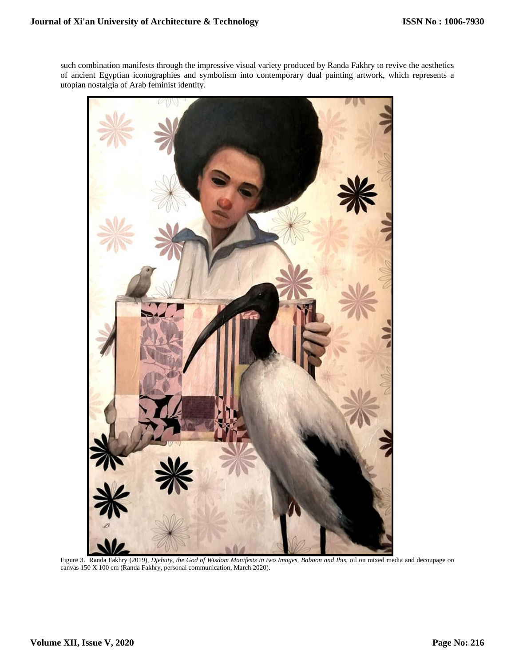such combination manifests through the impressive visual variety produced by Randa Fakhry to revive the aesthetics of ancient Egyptian iconographies and symbolism into contemporary dual painting artwork, which represents a utopian nostalgia of Arab feminist identity.



Figure 3. Randa Fakhry (2019), *Djehuty, the God of Wisdom Manifests in two Images, Baboon and Ibis*, oil on mixed media and decoupage on canvas 150 X 100 cm (Randa Fakhry, personal communication, March 2020).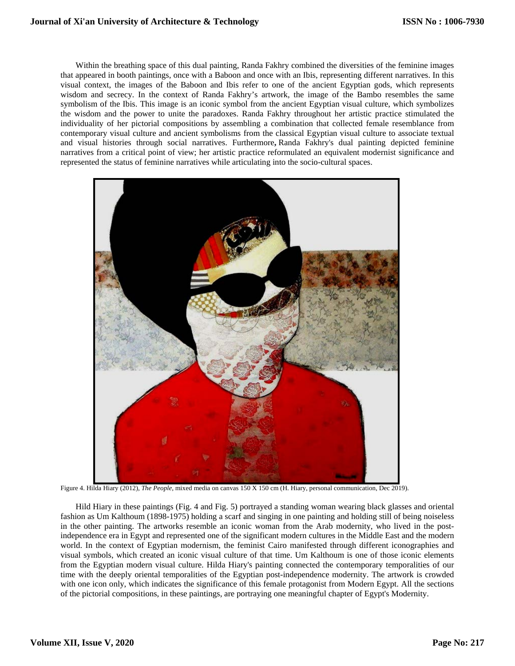Within the breathing space of this dual painting, Randa Fakhry combined the diversities of the feminine images that appeared in booth paintings, once with a Baboon and once with an Ibis, representing different narratives. In this visual context, the images of the Baboon and Ibis refer to one of the ancient Egyptian gods, which represents wisdom and secrecy. In the context of Randa Fakhry's artwork, the image of the Bambo resembles the same symbolism of the Ibis. This image is an iconic symbol from the ancient Egyptian visual culture, which symbolizes the wisdom and the power to unite the paradoxes. Randa Fakhry throughout her artistic practice stimulated the individuality of her pictorial compositions by assembling a combination that collected female resemblance from contemporary visual culture and ancient symbolisms from the classical Egyptian visual culture to associate textual and visual histories through social narratives. Furthermore**,** Randa Fakhry's dual painting depicted feminine narratives from a critical point of view; her artistic practice reformulated an equivalent modernist significance and represented the status of feminine narratives while articulating into the socio-cultural spaces.



Figure 4. Hilda Hiary (2012), *The People*, mixed media on canvas 150 X 150 cm (H. Hiary, personal communication, Dec 2019).

Hild Hiary in these paintings (Fig. 4 and Fig. 5) portrayed a standing woman wearing black glasses and oriental fashion as Um Kalthoum (1898-1975) holding a scarf and singing in one painting and holding still of being noiseless in the other painting. The artworks resemble an iconic woman from the Arab modernity, who lived in the postindependence era in Egypt and represented one of the significant modern cultures in the Middle East and the modern world. In the context of Egyptian modernism, the feminist Cairo manifested through different iconographies and visual symbols, which created an iconic visual culture of that time. Um Kalthoum is one of those iconic elements from the Egyptian modern visual culture. Hilda Hiary's painting connected the contemporary temporalities of our time with the deeply oriental temporalities of the Egyptian post-independence modernity. The artwork is crowded with one icon only, which indicates the significance of this female protagonist from Modern Egypt. All the sections of the pictorial compositions, in these paintings, are portraying one meaningful chapter of Egypt's Modernity.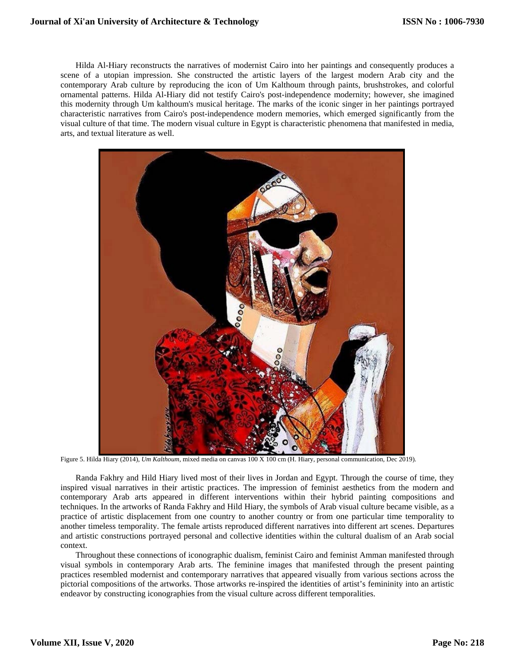## **Journal of Xi'an University of Architecture & Technology**

Hilda Al-Hiary reconstructs the narratives of modernist Cairo into her paintings and consequently produces a scene of a utopian impression. She constructed the artistic layers of the largest modern Arab city and the contemporary Arab culture by reproducing the icon of Um Kalthoum through paints, brushstrokes, and colorful ornamental patterns. Hilda Al-Hiary did not testify Cairo's post-independence modernity; however, she imagined this modernity through Um kalthoum's musical heritage. The marks of the iconic singer in her paintings portrayed characteristic narratives from Cairo's post-independence modern memories, which emerged significantly from the visual culture of that time. The modern visual culture in Egypt is characteristic phenomena that manifested in media, arts, and textual literature as well.



Figure 5. Hilda Hiary (2014), *Um Kalthoum*, mixed media on canvas 100 X 100 cm (H. Hiary, personal communication, Dec 2019).

Randa Fakhry and Hild Hiary lived most of their lives in Jordan and Egypt. Through the course of time, they inspired visual narratives in their artistic practices. The impression of feminist aesthetics from the modern and contemporary Arab arts appeared in different interventions within their hybrid painting compositions and techniques. In the artworks of Randa Fakhry and Hild Hiary, the symbols of Arab visual culture became visible, as a practice of artistic displacement from one country to another country or from one particular time temporality to another timeless temporality. The female artists reproduced different narratives into different art scenes. Departures and artistic constructions portrayed personal and collective identities within the cultural dualism of an Arab social context.

Throughout these connections of iconographic dualism, feminist Cairo and feminist Amman manifested through visual symbols in contemporary Arab arts. The feminine images that manifested through the present painting practices resembled modernist and contemporary narratives that appeared visually from various sections across the pictorial compositions of the artworks. Those artworks re-inspired the identities of artist's femininity into an artistic endeavor by constructing iconographies from the visual culture across different temporalities.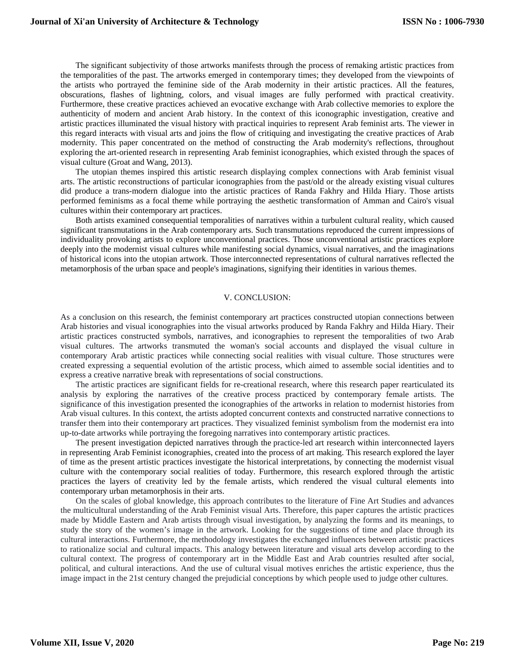The significant subjectivity of those artworks manifests through the process of remaking artistic practices from the temporalities of the past. The artworks emerged in contemporary times; they developed from the viewpoints of the artists who portrayed the feminine side of the Arab modernity in their artistic practices. All the features, obscurations, flashes of lightning, colors, and visual images are fully performed with practical creativity. Furthermore, these creative practices achieved an evocative exchange with Arab collective memories to explore the authenticity of modern and ancient Arab history. In the context of this iconographic investigation, creative and artistic practices illuminated the visual history with practical inquiries to represent Arab feminist arts. The viewer in this regard interacts with visual arts and joins the flow of critiquing and investigating the creative practices of Arab modernity. This paper concentrated on the method of constructing the Arab modernity's reflections, throughout exploring the art-oriented research in representing Arab feminist iconographies, which existed through the spaces of visual culture (Groat and Wang, 2013).

The utopian themes inspired this artistic research displaying complex connections with Arab feminist visual arts. The artistic reconstructions of particular iconographies from the past/old or the already existing visual cultures did produce a trans-modern dialogue into the artistic practices of Randa Fakhry and Hilda Hiary. Those artists performed feminisms as a focal theme while portraying the aesthetic transformation of Amman and Cairo's visual cultures within their contemporary art practices.

Both artists examined consequential temporalities of narratives within a turbulent cultural reality, which caused significant transmutations in the Arab contemporary arts. Such transmutations reproduced the current impressions of individuality provoking artists to explore unconventional practices. Those unconventional artistic practices explore deeply into the modernist visual cultures while manifesting social dynamics, visual narratives, and the imaginations of historical icons into the utopian artwork. Those interconnected representations of cultural narratives reflected the metamorphosis of the urban space and people's imaginations, signifying their identities in various themes.

#### V. CONCLUSION:

As a conclusion on this research, the feminist contemporary art practices constructed utopian connections between Arab histories and visual iconographies into the visual artworks produced by Randa Fakhry and Hilda Hiary. Their artistic practices constructed symbols, narratives, and iconographies to represent the temporalities of two Arab visual cultures. The artworks transmuted the woman's social accounts and displayed the visual culture in contemporary Arab artistic practices while connecting social realities with visual culture. Those structures were created expressing a sequential evolution of the artistic process, which aimed to assemble social identities and to express a creative narrative break with representations of social constructions.

The artistic practices are significant fields for re-creational research, where this research paper rearticulated its analysis by exploring the narratives of the creative process practiced by contemporary female artists. The significance of this investigation presented the iconographies of the artworks in relation to modernist histories from Arab visual cultures. In this context, the artists adopted concurrent contexts and constructed narrative connections to transfer them into their contemporary art practices. They visualized feminist symbolism from the modernist era into up-to-date artworks while portraying the foregoing narratives into contemporary artistic practices.

The present investigation depicted narratives through the practice-led art research within interconnected layers in representing Arab Feminist iconographies, created into the process of art making. This research explored the layer of time as the present artistic practices investigate the historical interpretations, by connecting the modernist visual culture with the contemporary social realities of today. Furthermore, this research explored through the artistic practices the layers of creativity led by the female artists, which rendered the visual cultural elements into contemporary urban metamorphosis in their arts.

On the scales of global knowledge, this approach contributes to the literature of Fine Art Studies and advances the multicultural understanding of the Arab Feminist visual Arts. Therefore, this paper captures the artistic practices made by Middle Eastern and Arab artists through visual investigation, by analyzing the forms and its meanings, to study the story of the women's image in the artwork. Looking for the suggestions of time and place through its cultural interactions. Furthermore, the methodology investigates the exchanged influences between artistic practices to rationalize social and cultural impacts. This analogy between literature and visual arts develop according to the cultural context. The progress of contemporary art in the Middle East and Arab countries resulted after social, political, and cultural interactions. And the use of cultural visual motives enriches the artistic experience, thus the image impact in the 21st century changed the prejudicial conceptions by which people used to judge other cultures.